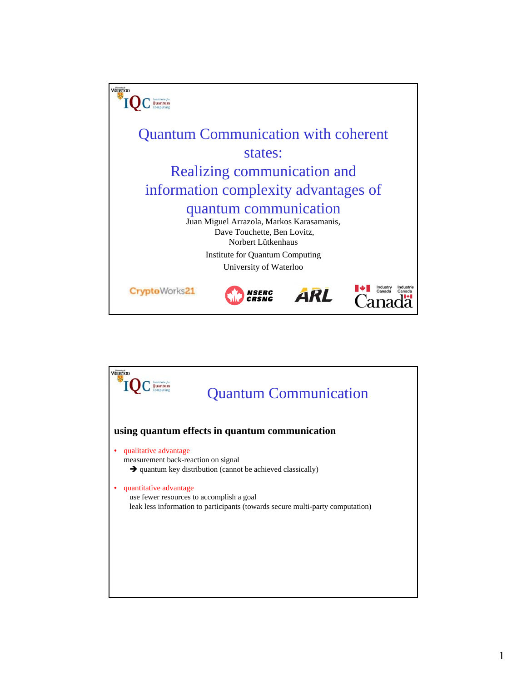

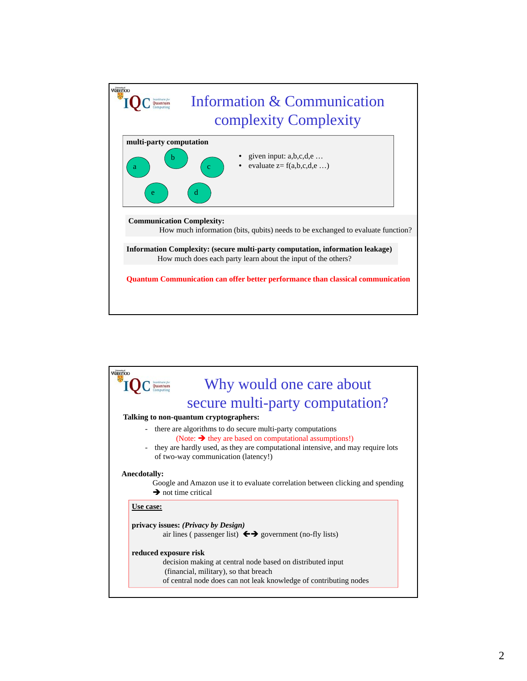

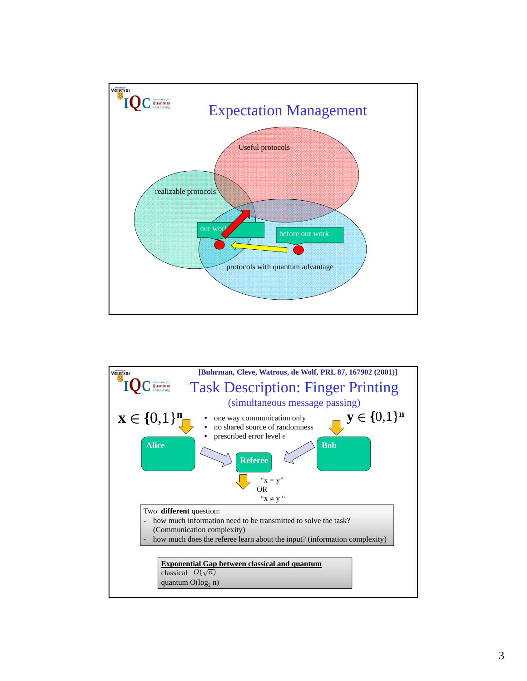

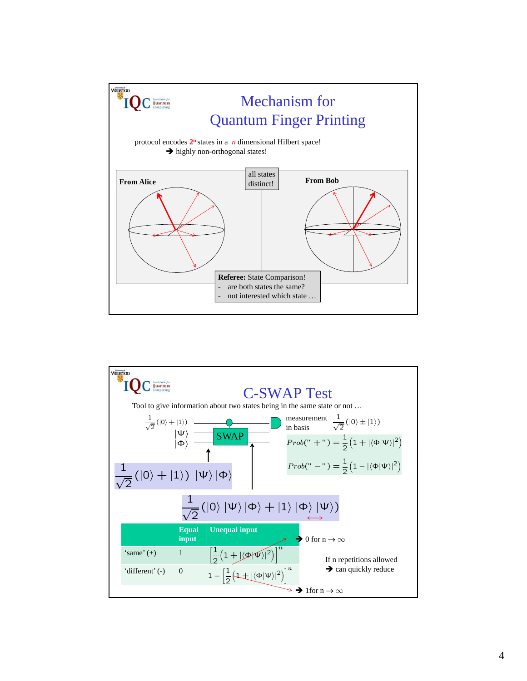

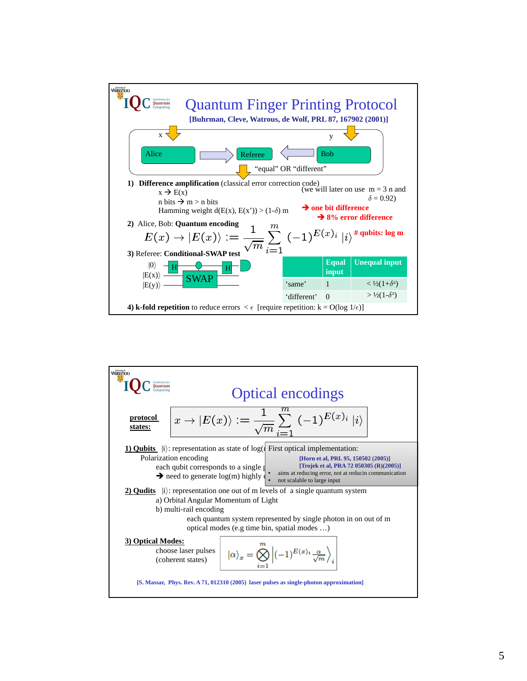

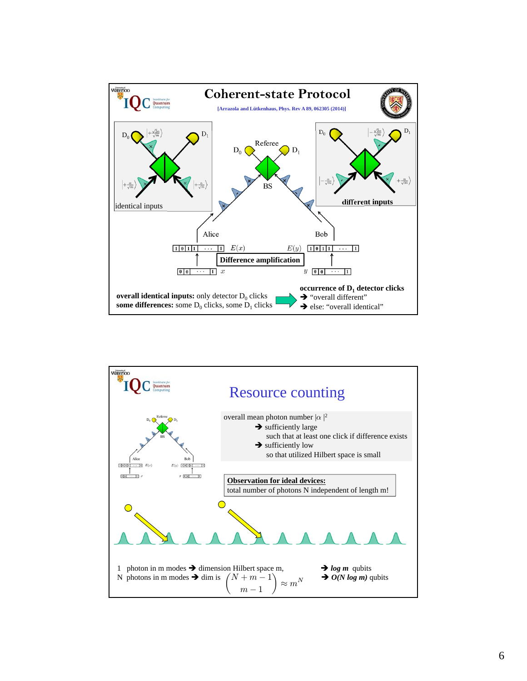

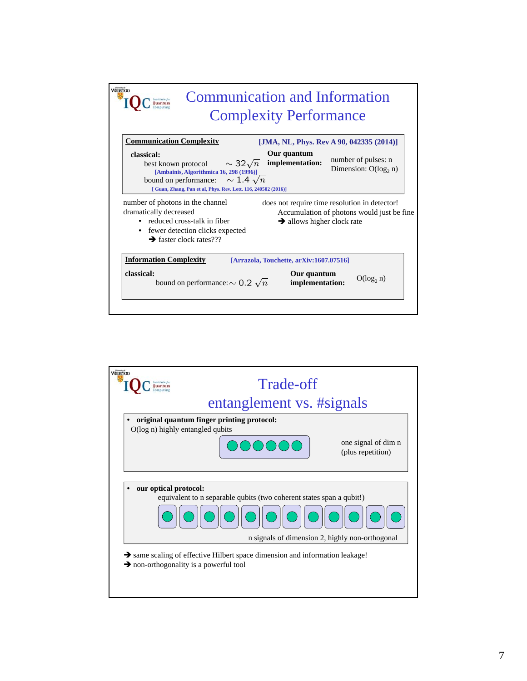

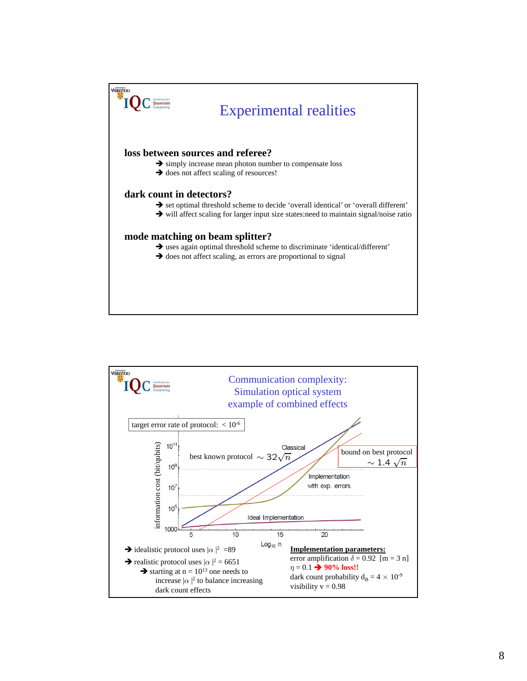

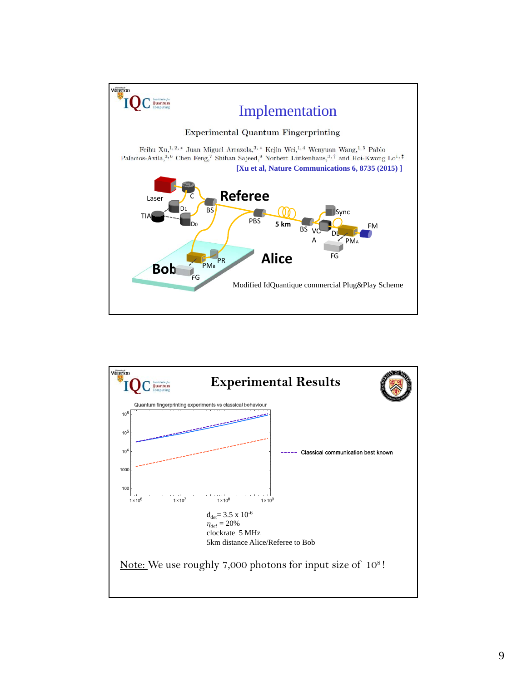

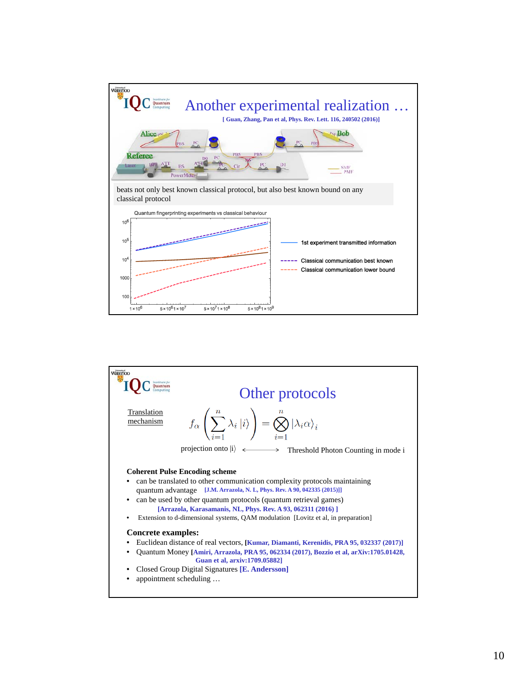

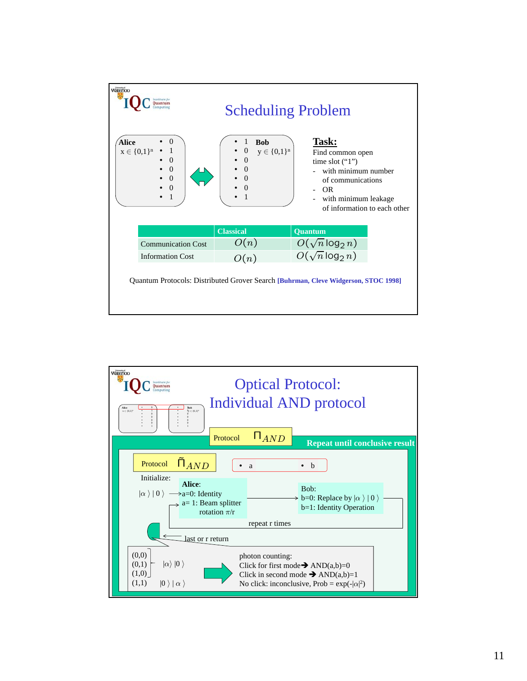| Waterloo<br><b>Scheduling Problem</b>                                              |                                                                                                                                      |                                                                                                                                                                                             |
|------------------------------------------------------------------------------------|--------------------------------------------------------------------------------------------------------------------------------------|---------------------------------------------------------------------------------------------------------------------------------------------------------------------------------------------|
| Alice<br>0<br>$x \in \{0,1\}^n$<br>$\theta$<br>$\Omega$<br>$\Omega$<br>$\theta$    | 1<br><b>Bob</b><br>$\boldsymbol{0}$<br>$y \in \{0,1\}^n$<br>$\overline{0}$<br>$\overline{0}$<br>$\Omega$<br>$\Omega$<br>$\mathbf{1}$ | Task:<br>Find common open<br>time slot $("1")$<br>with minimum number<br>of communications<br><b>OR</b><br>with minimum leakage<br>$\overline{\phantom{a}}$<br>of information to each other |
|                                                                                    | <b>Classical</b>                                                                                                                     | Quantum                                                                                                                                                                                     |
| <b>Communication Cost</b>                                                          | O(n)                                                                                                                                 | $O(\sqrt{n}\log_2 n)$                                                                                                                                                                       |
| <b>Information Cost</b>                                                            | O(n)                                                                                                                                 | $O(\sqrt{n}\log_2 n)$                                                                                                                                                                       |
| Quantum Protocols: Distributed Grover Search [Buhrman, Cleve Widgerson, STOC 1998] |                                                                                                                                      |                                                                                                                                                                                             |

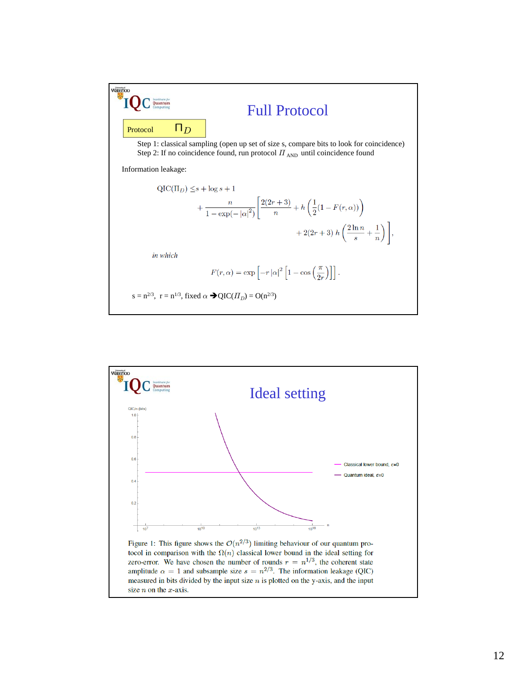